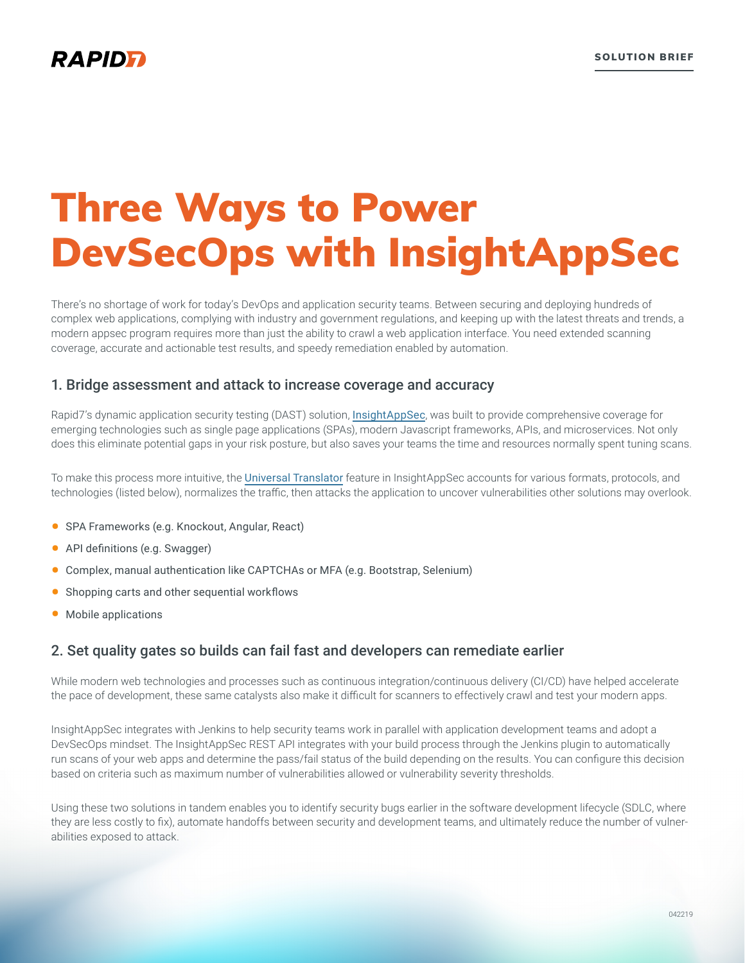# Three Ways to Power DevSecOps with InsightAppSec

There's no shortage of work for today's DevOps and application security teams. Between securing and deploying hundreds of complex web applications, complying with industry and government regulations, and keeping up with the latest threats and trends, a modern appsec program requires more than just the ability to crawl a web application interface. You need extended scanning coverage, accurate and actionable test results, and speedy remediation enabled by automation.

#### 1. Bridge assessment and attack to increase coverage and accuracy

Rapid7's dynamic application security testing (DAST) solution, [InsightAppSec](https://www.rapid7.com/products/insightappsec/), was built to provide comprehensive coverage for emerging technologies such as single page applications (SPAs), modern Javascript frameworks, APIs, and microservices. Not only does this eliminate potential gaps in your risk posture, but also saves your teams the time and resources normally spent tuning scans.

To make this process more intuitive, the [Universal Translator](https://www.rapid7.com/products/insightappsec/features/the-universal-translator/) feature in InsightAppSec accounts for various formats, protocols, and technologies (listed below), normalizes the traffic, then attacks the application to uncover vulnerabilities other solutions may overlook.

- SPA Frameworks (e.g. Knockout, Angular, React)
- API definitions (e.g. Swagger)
- Complex, manual authentication like CAPTCHAs or MFA (e.g. Bootstrap, Selenium)
- Shopping carts and other sequential workflows
- Mobile applications

#### 2. Set quality gates so builds can fail fast and developers can remediate earlier

While modern web technologies and processes such as continuous integration/continuous delivery (CI/CD) have helped accelerate the pace of development, these same catalysts also make it difficult for scanners to effectively crawl and test your modern apps.

InsightAppSec integrates with Jenkins to help security teams work in parallel with application development teams and adopt a DevSecOps mindset. The InsightAppSec REST API integrates with your build process through the Jenkins plugin to automatically run scans of your web apps and determine the pass/fail status of the build depending on the results. You can configure this decision based on criteria such as maximum number of vulnerabilities allowed or vulnerability severity thresholds.

Using these two solutions in tandem enables you to identify security bugs earlier in the software development lifecycle (SDLC, where they are less costly to fix), automate handoffs between security and development teams, and ultimately reduce the number of vulnerabilities exposed to attack.